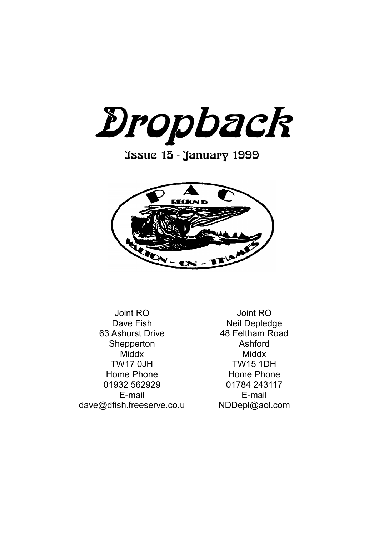Dropback

Issue 15 - January 1999



Joint RO Dave Fish 63 Ashurst Drive Shepperton **Middx** TW17 0JH Home Phone 01932 562929 E-mail dave@dfish.freeserve.co.u

Joint RO Neil Depledge 48 Feltham Road Ashford **Middx** TW15 1DH Home Phone 01784 243117 E-mail NDDepl@aol.com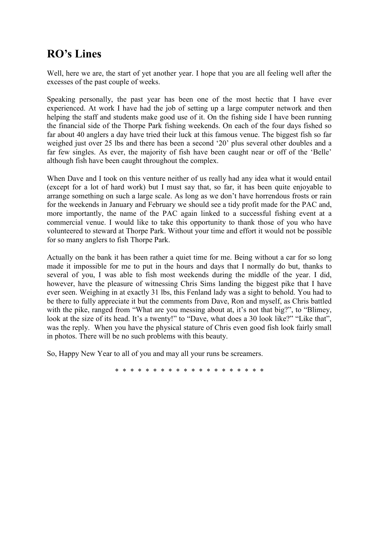# **RO's Lines**

Well, here we are, the start of yet another year. I hope that you are all feeling well after the excesses of the past couple of weeks.

Speaking personally, the past year has been one of the most hectic that I have ever experienced. At work I have had the job of setting up a large computer network and then helping the staff and students make good use of it. On the fishing side I have been running the financial side of the Thorpe Park fishing weekends. On each of the four days fished so far about 40 anglers a day have tried their luck at this famous venue. The biggest fish so far weighed just over 25 lbs and there has been a second "20" plus several other doubles and a far few singles. As ever, the majority of fish have been caught near or off of the 'Belle' although fish have been caught throughout the complex.

When Dave and I took on this venture neither of us really had any idea what it would entail (except for a lot of hard work) but I must say that, so far, it has been quite enjoyable to arrange something on such a large scale. As long as we don"t have horrendous frosts or rain for the weekends in January and February we should see a tidy profit made for the PAC and, more importantly, the name of the PAC again linked to a successful fishing event at a commercial venue. I would like to take this opportunity to thank those of you who have volunteered to steward at Thorpe Park. Without your time and effort it would not be possible for so many anglers to fish Thorpe Park.

Actually on the bank it has been rather a quiet time for me. Being without a car for so long made it impossible for me to put in the hours and days that I normally do but, thanks to several of you, I was able to fish most weekends during the middle of the year. I did, however, have the pleasure of witnessing Chris Sims landing the biggest pike that I have ever seen. Weighing in at exactly 31 lbs, this Fenland lady was a sight to behold. You had to be there to fully appreciate it but the comments from Dave, Ron and myself, as Chris battled with the pike, ranged from "What are you messing about at, it's not that big?", to "Blimey, look at the size of its head. It's a twenty!" to "Dave, what does a 30 look like?" "Like that", was the reply. When you have the physical stature of Chris even good fish look fairly small in photos. There will be no such problems with this beauty.

So, Happy New Year to all of you and may all your runs be screamers.

\* \* \* \* \* \* \* \* \* \* \* \* \* \* \* \* \* \* \* \*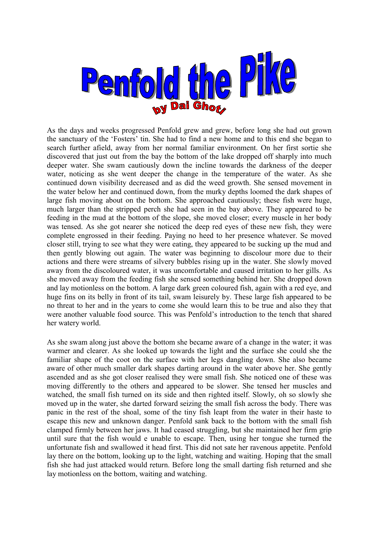

As the days and weeks progressed Penfold grew and grew, before long she had out grown the sanctuary of the "Fosters" tin. She had to find a new home and to this end she began to search further afield, away from her normal familiar environment. On her first sortie she discovered that just out from the bay the bottom of the lake dropped off sharply into much deeper water. She swam cautiously down the incline towards the darkness of the deeper water, noticing as she went deeper the change in the temperature of the water. As she continued down visibility decreased and as did the weed growth. She sensed movement in the water below her and continued down, from the murky depths loomed the dark shapes of large fish moving about on the bottom. She approached cautiously; these fish were huge, much larger than the stripped perch she had seen in the bay above. They appeared to be feeding in the mud at the bottom of the slope, she moved closer; every muscle in her body was tensed. As she got nearer she noticed the deep red eyes of these new fish, they were complete engrossed in their feeding. Paying no heed to her presence whatever. Se moved closer still, trying to see what they were eating, they appeared to be sucking up the mud and then gently blowing out again. The water was beginning to discolour more due to their actions and there were streams of silvery bubbles rising up in the water. She slowly moved away from the discoloured water, it was uncomfortable and caused irritation to her gills. As she moved away from the feeding fish she sensed something behind her. She dropped down and lay motionless on the bottom. A large dark green coloured fish, again with a red eye, and huge fins on its belly in front of its tail, swam leisurely by. These large fish appeared to be no threat to her and in the years to come she would learn this to be true and also they that were another valuable food source. This was Penfold"s introduction to the tench that shared her watery world.

As she swam along just above the bottom she became aware of a change in the water; it was warmer and clearer. As she looked up towards the light and the surface she could she the familiar shape of the coot on the surface with her legs dangling down. She also became aware of other much smaller dark shapes darting around in the water above her. She gently ascended and as she got closer realised they were small fish. She noticed one of these was moving differently to the others and appeared to be slower. She tensed her muscles and watched, the small fish turned on its side and then righted itself. Slowly, oh so slowly she moved up in the water, she darted forward seizing the small fish across the body. There was panic in the rest of the shoal, some of the tiny fish leapt from the water in their haste to escape this new and unknown danger. Penfold sank back to the bottom with the small fish clamped firmly between her jaws. It had ceased struggling, but she maintained her firm grip until sure that the fish would e unable to escape. Then, using her tongue she turned the unfortunate fish and swallowed it head first. This did not sate her ravenous appetite. Penfold lay there on the bottom, looking up to the light, watching and waiting. Hoping that the small fish she had just attacked would return. Before long the small darting fish returned and she lay motionless on the bottom, waiting and watching.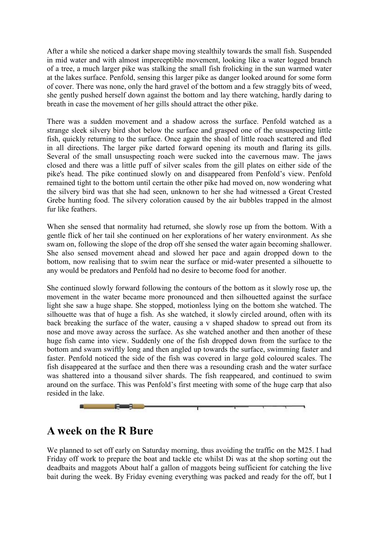After a while she noticed a darker shape moving stealthily towards the small fish. Suspended in mid water and with almost imperceptible movement, looking like a water logged branch of a tree, a much larger pike was stalking the small fish frolicking in the sun warmed water at the lakes surface. Penfold, sensing this larger pike as danger looked around for some form of cover. There was none, only the hard gravel of the bottom and a few straggly bits of weed, she gently pushed herself down against the bottom and lay there watching, hardly daring to breath in case the movement of her gills should attract the other pike.

There was a sudden movement and a shadow across the surface. Penfold watched as a strange sleek silvery bird shot below the surface and grasped one of the unsuspecting little fish, quickly returning to the surface. Once again the shoal of little roach scattered and fled in all directions. The larger pike darted forward opening its mouth and flaring its gills. Several of the small unsuspecting roach were sucked into the cavernous maw. The jaws closed and there was a little puff of silver scales from the gill plates on either side of the pike's head. The pike continued slowly on and disappeared from Penfold"s view. Penfold remained tight to the bottom until certain the other pike had moved on, now wondering what the silvery bird was that she had seen, unknown to her she had witnessed a Great Crested Grebe hunting food. The silvery coloration caused by the air bubbles trapped in the almost fur like feathers.

When she sensed that normality had returned, she slowly rose up from the bottom. With a gentle flick of her tail she continued on her explorations of her watery environment. As she swam on, following the slope of the drop off she sensed the water again becoming shallower. She also sensed movement ahead and slowed her pace and again dropped down to the bottom, now realising that to swim near the surface or mid-water presented a silhouette to any would be predators and Penfold had no desire to become food for another.

She continued slowly forward following the contours of the bottom as it slowly rose up, the movement in the water became more pronounced and then silhouetted against the surface light she saw a huge shape. She stopped, motionless lying on the bottom she watched. The silhouette was that of huge a fish. As she watched, it slowly circled around, often with its back breaking the surface of the water, causing a v shaped shadow to spread out from its nose and move away across the surface. As she watched another and then another of these huge fish came into view. Suddenly one of the fish dropped down from the surface to the bottom and swam swiftly long and then angled up towards the surface, swimming faster and faster. Penfold noticed the side of the fish was covered in large gold coloured scales. The fish disappeared at the surface and then there was a resounding crash and the water surface was shattered into a thousand silver shards. The fish reappeared, and continued to swim around on the surface. This was Penfold"s first meeting with some of the huge carp that also resided in the lake.



## **A week on the R Bure**

We planned to set off early on Saturday morning, thus avoiding the traffic on the M25. I had Friday off work to prepare the boat and tackle etc whilst Di was at the shop sorting out the deadbaits and maggots About half a gallon of maggots being sufficient for catching the live bait during the week. By Friday evening everything was packed and ready for the off, but I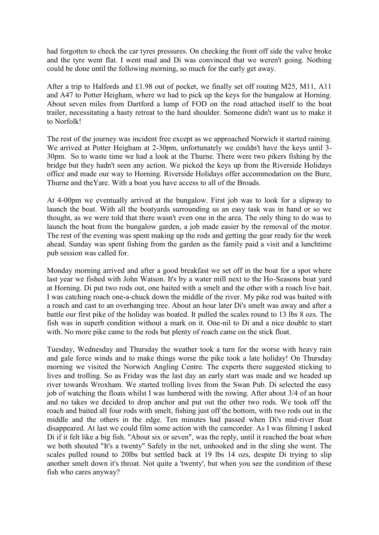had forgotten to check the car tyres pressures. On checking the front off side the valve broke and the tyre went flat. I went mad and Di was convinced that we weren't going. Nothing could be done until the following morning, so much for the early get away.

After a trip to Halfords and £1.98 out of pocket, we finally set off routing M25, M11, A11 and A47 to Potter Heigham, where we had to pick up the keys for the bungalow at Horning. About seven miles from Dartford a lump of FOD on the road attached itself to the boat trailer, necessitating a hasty retreat to the hard shoulder. Someone didn't want us to make it to Norfolk!

The rest of the journey was incident free except as we approached Norwich it started raining. We arrived at Potter Heigham at 2-30pm, unfortunately we couldn't have the keys until 3- 30pm. So to waste time we had a look at the Thurne. There were two pikers fishing by the bridge but they hadn't seen any action. We picked the keys up from the Riverside Holidays office and made our way to Horning. Riverside Holidays offer accommodation on the Bure, Thurne and theYare. With a boat you have access to all of the Broads.

At 4-00pm we eventually arrived at the bungalow. First job was to look for a slipway to launch the boat. With all the boatyards surrounding us an easy task was in hand or so we thought, as we were told that there wasn't even one in the area. The only thing to do was to launch the boat from the bungalow garden, a job made easier by the removal of the motor. The rest of the evening was spent making up the rods and getting the gear ready for the week ahead. Sunday was spent fishing from the garden as the family paid a visit and a lunchtime pub session was called for.

Monday morning arrived and after a good breakfast we set off in the boat for a spot where last year we fished with John Watson. It's by a water mill next to the Ho-Seasons boat yard at Horning. Di put two rods out, one baited with a smelt and the other with a roach live bait. I was catching roach one-a-chuck down the middle of the river. My pike rod was baited with a roach and cast to an overhanging tree. About an hour later Di's smelt was away and after a battle our first pike of the holiday was boated. It pulled the scales round to 13 lbs 8 ozs. The fish was in superb condition without a mark on it. One-nil to Di and a nice double to start with. No more pike came to the rods but plenty of roach came on the stick float.

Tuesday, Wednesday and Thursday the weather took a turn for the worse with heavy rain and gale force winds and to make things worse the pike took a late holiday! On Thursday morning we visited the Norwich Angling Centre. The experts there suggested sticking to lives and trolling. So as Friday was the last day an early start was made and we headed up river towards Wroxham. We started trolling lives from the Swan Pub. Di selected the easy job of watching the floats whilst I was lumbered with the rowing. After about 3/4 of an hour and no takes we decided to drop anchor and put out the other two rods. We took off the roach and baited all four rods with smelt, fishing just off the bottom, with two rods out in the middle and the others in the edge. Ten minutes had passed when Di's mid-river float disappeared. At last we could film some action with the camcorder. As I was filming I asked Di if it felt like a big fish. "About six or seven", was the reply, until it reached the boat when we both shouted "It's a twenty" Safely in the net, unhooked and in the sling she went. The scales pulled round to 20lbs but settled back at 19 lbs 14 ozs, despite Di trying to slip another smelt down it's throat. Not quite a 'twenty', but when you see the condition of these fish who cares anyway?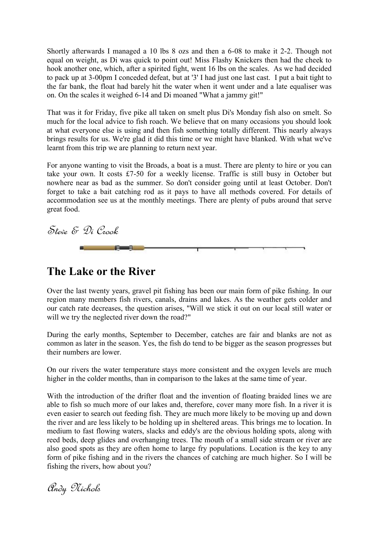Shortly afterwards I managed a 10 lbs 8 ozs and then a 6-08 to make it 2-2. Though not equal on weight, as Di was quick to point out! Miss Flashy Knickers then had the cheek to hook another one, which, after a spirited fight, went 16 lbs on the scales. As we had decided to pack up at 3-00pm I conceded defeat, but at '3' I had just one last cast. I put a bait tight to the far bank, the float had barely hit the water when it went under and a late equaliser was on. On the scales it weighed 6-14 and Di moaned "What a jammy git!"

That was it for Friday, five pike all taken on smelt plus Di's Monday fish also on smelt. So much for the local advice to fish roach. We believe that on many occasions you should look at what everyone else is using and then fish something totally different. This nearly always brings results for us. We're glad it did this time or we might have blanked. With what we've learnt from this trip we are planning to return next year.

For anyone wanting to visit the Broads, a boat is a must. There are plenty to hire or you can take your own. It costs £7-50 for a weekly license. Traffic is still busy in October but nowhere near as bad as the summer. So don't consider going until at least October. Don't forget to take a bait catching rod as it pays to have all methods covered. For details of accommodation see us at the monthly meetings. There are plenty of pubs around that serve great food.

Steve & Di Crook F -9

### **The Lake or the River**

Over the last twenty years, gravel pit fishing has been our main form of pike fishing. In our region many members fish rivers, canals, drains and lakes. As the weather gets colder and our catch rate decreases, the question arises, "Will we stick it out on our local still water or will we try the neglected river down the road?"

During the early months, September to December, catches are fair and blanks are not as common as later in the season. Yes, the fish do tend to be bigger as the season progresses but their numbers are lower.

On our rivers the water temperature stays more consistent and the oxygen levels are much higher in the colder months, than in comparison to the lakes at the same time of year.

With the introduction of the drifter float and the invention of floating braided lines we are able to fish so much more of our lakes and, therefore, cover many more fish. In a river it is even easier to search out feeding fish. They are much more likely to be moving up and down the river and are less likely to be holding up in sheltered areas. This brings me to location. In medium to fast flowing waters, slacks and eddy's are the obvious holding spots, along with reed beds, deep glides and overhanging trees. The mouth of a small side stream or river are also good spots as they are often home to large fry populations. Location is the key to any form of pike fishing and in the rivers the chances of catching are much higher. So I will be fishing the rivers, how about you?

Andy Nichols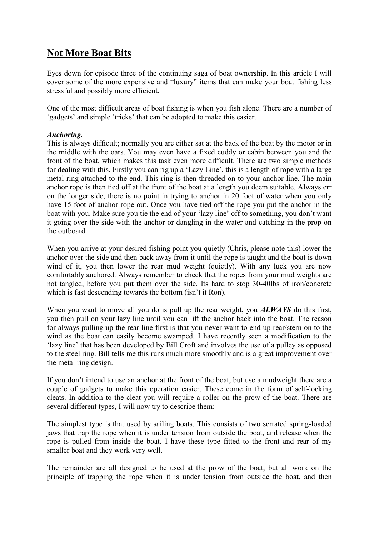### **Not More Boat Bits**

Eyes down for episode three of the continuing saga of boat ownership. In this article I will cover some of the more expensive and "luxury" items that can make your boat fishing less stressful and possibly more efficient.

One of the most difficult areas of boat fishing is when you fish alone. There are a number of 'gadgets" and simple "tricks" that can be adopted to make this easier.

#### *Anchoring.*

This is always difficult; normally you are either sat at the back of the boat by the motor or in the middle with the oars. You may even have a fixed cuddy or cabin between you and the front of the boat, which makes this task even more difficult. There are two simple methods for dealing with this. Firstly you can rig up a "Lazy Line", this is a length of rope with a large metal ring attached to the end. This ring is then threaded on to your anchor line. The main anchor rope is then tied off at the front of the boat at a length you deem suitable. Always err on the longer side, there is no point in trying to anchor in 20 foot of water when you only have 15 foot of anchor rope out. Once you have tied off the rope you put the anchor in the boat with you. Make sure you tie the end of your 'lazy line' off to something, you don't want it going over the side with the anchor or dangling in the water and catching in the prop on the outboard.

When you arrive at your desired fishing point you quietly (Chris, please note this) lower the anchor over the side and then back away from it until the rope is taught and the boat is down wind of it, you then lower the rear mud weight (quietly). With any luck you are now comfortably anchored. Always remember to check that the ropes from your mud weights are not tangled, before you put them over the side. Its hard to stop 30-40lbs of iron/concrete which is fast descending towards the bottom (isn't it Ron).

When you want to move all you do is pull up the rear weight, you *ALWAYS* do this first, you then pull on your lazy line until you can lift the anchor back into the boat. The reason for always pulling up the rear line first is that you never want to end up rear/stern on to the wind as the boat can easily become swamped. I have recently seen a modification to the 'lazy line" that has been developed by Bill Croft and involves the use of a pulley as opposed to the steel ring. Bill tells me this runs much more smoothly and is a great improvement over the metal ring design.

If you don"t intend to use an anchor at the front of the boat, but use a mudweight there are a couple of gadgets to make this operation easier. These come in the form of self-locking cleats. In addition to the cleat you will require a roller on the prow of the boat. There are several different types, I will now try to describe them:

The simplest type is that used by sailing boats. This consists of two serrated spring-loaded jaws that trap the rope when it is under tension from outside the boat, and release when the rope is pulled from inside the boat. I have these type fitted to the front and rear of my smaller boat and they work very well.

The remainder are all designed to be used at the prow of the boat, but all work on the principle of trapping the rope when it is under tension from outside the boat, and then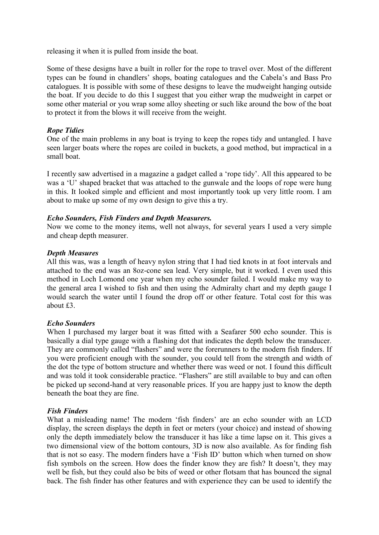releasing it when it is pulled from inside the boat.

Some of these designs have a built in roller for the rope to travel over. Most of the different types can be found in chandlers" shops, boating catalogues and the Cabela"s and Bass Pro catalogues. It is possible with some of these designs to leave the mudweight hanging outside the boat. If you decide to do this I suggest that you either wrap the mudweight in carpet or some other material or you wrap some alloy sheeting or such like around the bow of the boat to protect it from the blows it will receive from the weight.

#### *Rope Tidies*

One of the main problems in any boat is trying to keep the ropes tidy and untangled. I have seen larger boats where the ropes are coiled in buckets, a good method, but impractical in a small boat.

I recently saw advertised in a magazine a gadget called a "rope tidy". All this appeared to be was a "U" shaped bracket that was attached to the gunwale and the loops of rope were hung in this. It looked simple and efficient and most importantly took up very little room. I am about to make up some of my own design to give this a try.

#### *Echo Sounders, Fish Finders and Depth Measurers.*

Now we come to the money items, well not always, for several years I used a very simple and cheap depth measurer.

#### *Depth Measures*

All this was, was a length of heavy nylon string that I had tied knots in at foot intervals and attached to the end was an 8oz-cone sea lead. Very simple, but it worked. I even used this method in Loch Lomond one year when my echo sounder failed. I would make my way to the general area I wished to fish and then using the Admiralty chart and my depth gauge I would search the water until I found the drop off or other feature. Total cost for this was about £3.

#### *Echo Sounders*

When I purchased my larger boat it was fitted with a Seafarer 500 echo sounder. This is basically a dial type gauge with a flashing dot that indicates the depth below the transducer. They are commonly called "flashers" and were the forerunners to the modern fish finders. If you were proficient enough with the sounder, you could tell from the strength and width of the dot the type of bottom structure and whether there was weed or not. I found this difficult and was told it took considerable practice. "Flashers" are still available to buy and can often be picked up second-hand at very reasonable prices. If you are happy just to know the depth beneath the boat they are fine.

#### *Fish Finders*

What a misleading name! The modern 'fish finders' are an echo sounder with an LCD display, the screen displays the depth in feet or meters (your choice) and instead of showing only the depth immediately below the transducer it has like a time lapse on it. This gives a two dimensional view of the bottom contours, 3D is now also available. As for finding fish that is not so easy. The modern finders have a "Fish ID" button which when turned on show fish symbols on the screen. How does the finder know they are fish? It doesn"t, they may well be fish, but they could also be bits of weed or other flotsam that has bounced the signal back. The fish finder has other features and with experience they can be used to identify the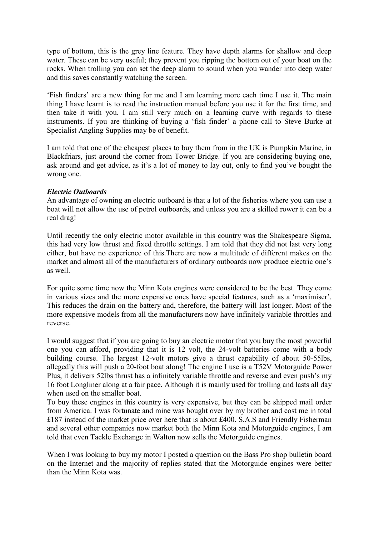type of bottom, this is the grey line feature. They have depth alarms for shallow and deep water. These can be very useful; they prevent you ripping the bottom out of your boat on the rocks. When trolling you can set the deep alarm to sound when you wander into deep water and this saves constantly watching the screen.

'Fish finders' are a new thing for me and I am learning more each time I use it. The main thing I have learnt is to read the instruction manual before you use it for the first time, and then take it with you. I am still very much on a learning curve with regards to these instruments. If you are thinking of buying a "fish finder" a phone call to Steve Burke at Specialist Angling Supplies may be of benefit.

I am told that one of the cheapest places to buy them from in the UK is Pumpkin Marine, in Blackfriars, just around the corner from Tower Bridge. If you are considering buying one, ask around and get advice, as it's a lot of money to lay out, only to find you've bought the wrong one.

#### *Electric Outboards*

An advantage of owning an electric outboard is that a lot of the fisheries where you can use a boat will not allow the use of petrol outboards, and unless you are a skilled rower it can be a real drag!

Until recently the only electric motor available in this country was the Shakespeare Sigma, this had very low thrust and fixed throttle settings. I am told that they did not last very long either, but have no experience of this.There are now a multitude of different makes on the market and almost all of the manufacturers of ordinary outboards now produce electric one"s as well.

For quite some time now the Minn Kota engines were considered to be the best. They come in various sizes and the more expensive ones have special features, such as a "maximiser". This reduces the drain on the battery and, therefore, the battery will last longer. Most of the more expensive models from all the manufacturers now have infinitely variable throttles and reverse.

I would suggest that if you are going to buy an electric motor that you buy the most powerful one you can afford, providing that it is 12 volt, the 24-volt batteries come with a body building course. The largest 12-volt motors give a thrust capability of about 50-55lbs, allegedly this will push a 20-foot boat along! The engine I use is a T52V Motorguide Power Plus, it delivers 52lbs thrust has a infinitely variable throttle and reverse and even push"s my 16 foot Longliner along at a fair pace. Although it is mainly used for trolling and lasts all day when used on the smaller boat.

To buy these engines in this country is very expensive, but they can be shipped mail order from America. I was fortunate and mine was bought over by my brother and cost me in total £187 instead of the market price over here that is about £400. S.A.S and Friendly Fisherman and several other companies now market both the Minn Kota and Motorguide engines, I am told that even Tackle Exchange in Walton now sells the Motorguide engines.

When I was looking to buy my motor I posted a question on the Bass Pro shop bulletin board on the Internet and the majority of replies stated that the Motorguide engines were better than the Minn Kota was.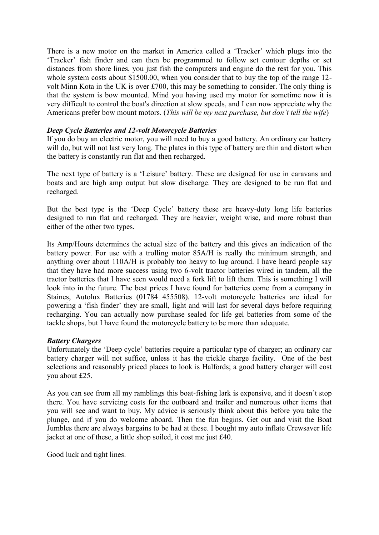There is a new motor on the market in America called a "Tracker" which plugs into the 'Tracker" fish finder and can then be programmed to follow set contour depths or set distances from shore lines, you just fish the computers and engine do the rest for you. This whole system costs about \$1500.00, when you consider that to buy the top of the range 12 volt Minn Kota in the UK is over £700, this may be something to consider. The only thing is that the system is bow mounted. Mind you having used my motor for sometime now it is very difficult to control the boat's direction at slow speeds, and I can now appreciate why the Americans prefer bow mount motors. (*This will be my next purchase, but don't tell the wife*)

#### *Deep Cycle Batteries and 12-volt Motorcycle Batteries*

If you do buy an electric motor, you will need to buy a good battery. An ordinary car battery will do, but will not last very long. The plates in this type of battery are thin and distort when the battery is constantly run flat and then recharged.

The next type of battery is a 'Leisure' battery. These are designed for use in caravans and boats and are high amp output but slow discharge. They are designed to be run flat and recharged.

But the best type is the "Deep Cycle" battery these are heavy-duty long life batteries designed to run flat and recharged. They are heavier, weight wise, and more robust than either of the other two types.

Its Amp/Hours determines the actual size of the battery and this gives an indication of the battery power. For use with a trolling motor 85A/H is really the minimum strength, and anything over about 110A/H is probably too heavy to lug around. I have heard people say that they have had more success using two 6-volt tractor batteries wired in tandem, all the tractor batteries that I have seen would need a fork lift to lift them. This is something I will look into in the future. The best prices I have found for batteries come from a company in Staines, Autolux Batteries (01784 455508). 12-volt motorcycle batteries are ideal for powering a "fish finder" they are small, light and will last for several days before requiring recharging. You can actually now purchase sealed for life gel batteries from some of the tackle shops, but I have found the motorcycle battery to be more than adequate.

#### *Battery Chargers*

Unfortunately the "Deep cycle" batteries require a particular type of charger; an ordinary car battery charger will not suffice, unless it has the trickle charge facility. One of the best selections and reasonably priced places to look is Halfords; a good battery charger will cost you about £25.

As you can see from all my ramblings this boat-fishing lark is expensive, and it doesn"t stop there. You have servicing costs for the outboard and trailer and numerous other items that you will see and want to buy. My advice is seriously think about this before you take the plunge, and if you do welcome aboard. Then the fun begins. Get out and visit the Boat Jumbles there are always bargains to be had at these. I bought my auto inflate Crewsaver life jacket at one of these, a little shop soiled, it cost me just £40.

Good luck and tight lines.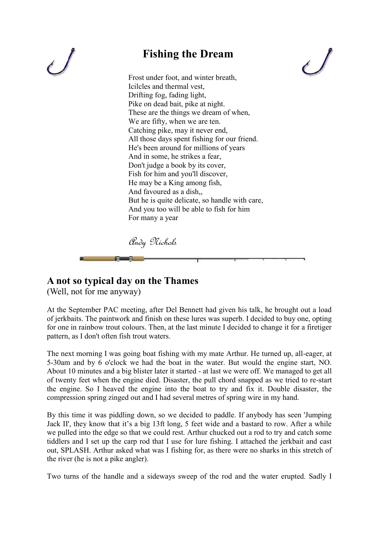

# **Fishing the Dream**



Frost under foot, and winter breath, Icilcles and thermal vest, Drifting fog, fading light, Pike on dead bait, pike at night. These are the things we dream of when, We are fifty, when we are ten. Catching pike, may it never end, All those days spent fishing for our friend. He's been around for millions of years And in some, he strikes a fear, Don't judge a book by its cover, Fish for him and you'll discover, He may be a King among fish, And favoured as a dish,, But he is quite delicate, so handle with care, And you too will be able to fish for him For many a year

Andy Nichols

### **A not so typical day on the Thames**

(Well, not for me anyway)

At the September PAC meeting, after Del Bennett had given his talk, he brought out a load of jerkbaits. The paintwork and finish on these lures was superb. I decided to buy one, opting for one in rainbow trout colours. Then, at the last minute I decided to change it for a firetiger pattern, as I don't often fish trout waters.

The next morning I was going boat fishing with my mate Arthur. He turned up, all-eager, at 5-30am and by 6 o'clock we had the boat in the water. But would the engine start, NO. About 10 minutes and a big blister later it started - at last we were off. We managed to get all of twenty feet when the engine died. Disaster, the pull chord snapped as we tried to re-start the engine. So I heaved the engine into the boat to try and fix it. Double disaster, the compression spring zinged out and I had several metres of spring wire in my hand.

By this time it was piddling down, so we decided to paddle. If anybody has seen 'Jumping Jack II', they know that it's a big 13ft long, 5 feet wide and a bastard to row. After a while we pulled into the edge so that we could rest. Arthur chucked out a rod to try and catch some tiddlers and I set up the carp rod that I use for lure fishing. I attached the jerkbait and cast out, SPLASH. Arthur asked what was I fishing for, as there were no sharks in this stretch of the river (he is not a pike angler).

Two turns of the handle and a sideways sweep of the rod and the water erupted. Sadly I